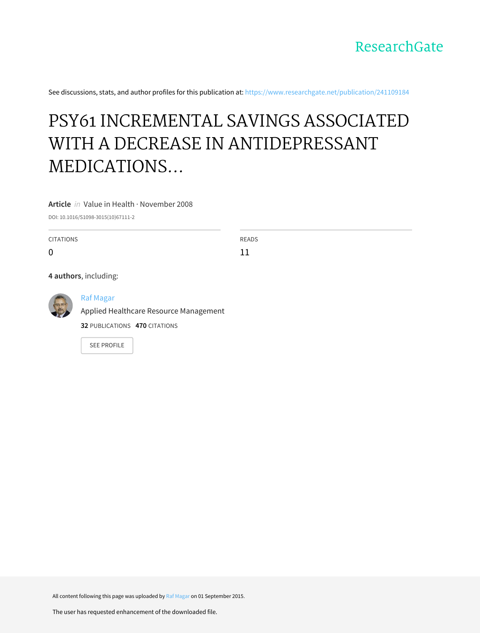

See discussions, stats, and author profiles for this publication at: [https://www.researchgate.net/publication/241109184](https://www.researchgate.net/publication/241109184_PSY61_INCREMENTAL_SAVINGS_ASSOCIATED_WITH_A_DECREASE_IN_ANTIDEPRESSANT_MEDICATIONS_FOLLOWING_BARIATRIC_SURGERY_IN_WESTERN_NEWYORK?enrichId=rgreq-0eb5215a556d8eff655bc864dd4547ff-XXX&enrichSource=Y292ZXJQYWdlOzI0MTEwOTE4NDtBUzoyNjg5MDg0NTIxMTg1MzBAMTQ0MTEyNDE3OTU2MA%3D%3D&el=1_x_2&_esc=publicationCoverPdf)

# PSY61 INCREMENTAL SAVINGS ASSOCIATED WITH A DECREASE IN ANTIDEPRESSANT MEDICATIONS...

**Article** in Value in Health · November 2008

DOI: 10.1016/S1098-3015(10)67111-2

CITATIONS  $\Omega$ READS 11 **4 authors**, including: Raf [Magar](https://www.researchgate.net/profile/Raf_Magar2?enrichId=rgreq-0eb5215a556d8eff655bc864dd4547ff-XXX&enrichSource=Y292ZXJQYWdlOzI0MTEwOTE4NDtBUzoyNjg5MDg0NTIxMTg1MzBAMTQ0MTEyNDE3OTU2MA%3D%3D&el=1_x_5&_esc=publicationCoverPdf) Applied Healthcare Resource [Management](https://www.researchgate.net/institution/Applied_Healthcare_Resource_Management?enrichId=rgreq-0eb5215a556d8eff655bc864dd4547ff-XXX&enrichSource=Y292ZXJQYWdlOzI0MTEwOTE4NDtBUzoyNjg5MDg0NTIxMTg1MzBAMTQ0MTEyNDE3OTU2MA%3D%3D&el=1_x_6&_esc=publicationCoverPdf)

**32** PUBLICATIONS **470** CITATIONS

SEE [PROFILE](https://www.researchgate.net/profile/Raf_Magar2?enrichId=rgreq-0eb5215a556d8eff655bc864dd4547ff-XXX&enrichSource=Y292ZXJQYWdlOzI0MTEwOTE4NDtBUzoyNjg5MDg0NTIxMTg1MzBAMTQ0MTEyNDE3OTU2MA%3D%3D&el=1_x_7&_esc=publicationCoverPdf)

All content following this page was uploaded by Raf [Magar](https://www.researchgate.net/profile/Raf_Magar2?enrichId=rgreq-0eb5215a556d8eff655bc864dd4547ff-XXX&enrichSource=Y292ZXJQYWdlOzI0MTEwOTE4NDtBUzoyNjg5MDg0NTIxMTg1MzBAMTQ0MTEyNDE3OTU2MA%3D%3D&el=1_x_10&_esc=publicationCoverPdf) on 01 September 2015.